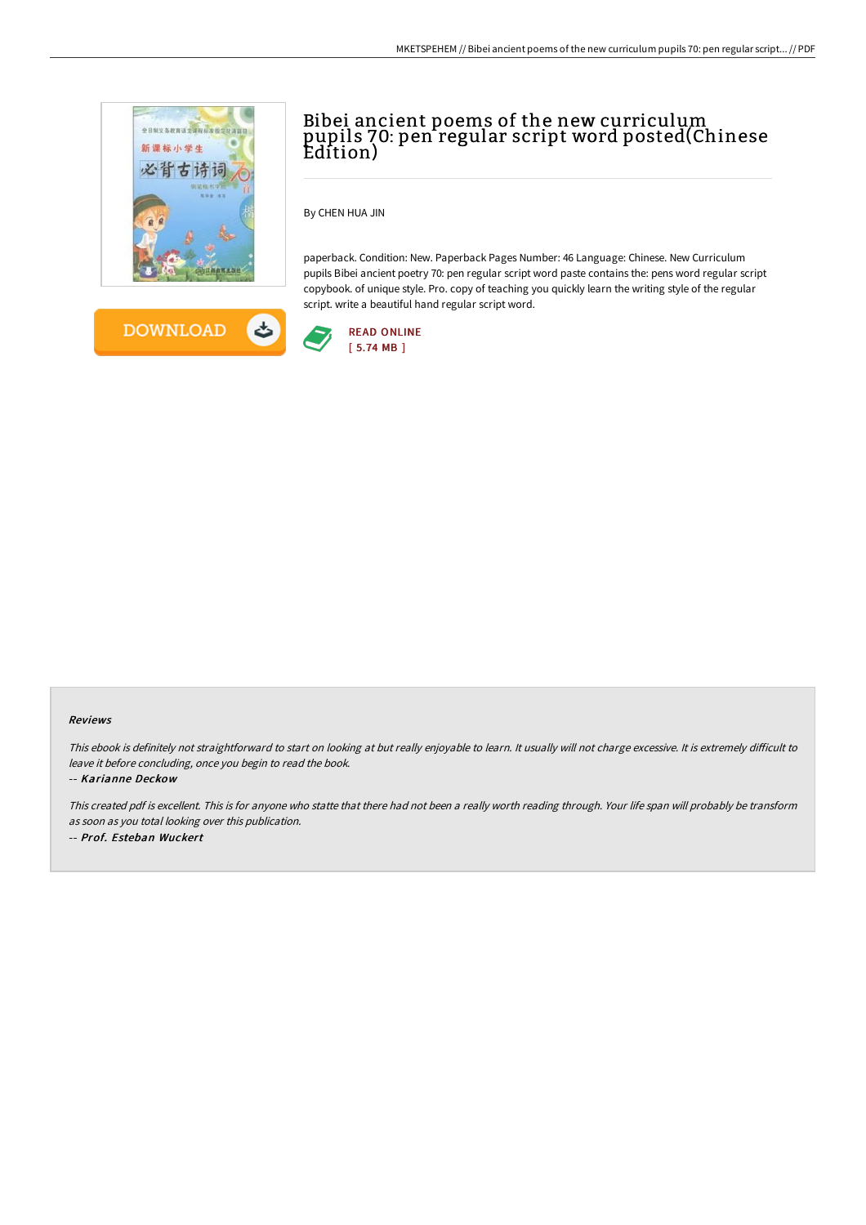



# Bibei ancient poems of the new curriculum pupils 70: pen regular script word posted(Chinese Edition)

By CHEN HUA JIN

paperback. Condition: New. Paperback Pages Number: 46 Language: Chinese. New Curriculum pupils Bibei ancient poetry 70: pen regular script word paste contains the: pens word regular script copybook. of unique style. Pro. copy of teaching you quickly learn the writing style of the regular script. write a beautiful hand regular script word.



#### Reviews

This ebook is definitely not straightforward to start on looking at but really enjoyable to learn. It usually will not charge excessive. It is extremely difficult to leave it before concluding, once you begin to read the book.

-- Karianne Deckow

This created pdf is excellent. This is for anyone who statte that there had not been <sup>a</sup> really worth reading through. Your life span will probably be transform as soon as you total looking over this publication. -- Prof. Esteban Wuckert